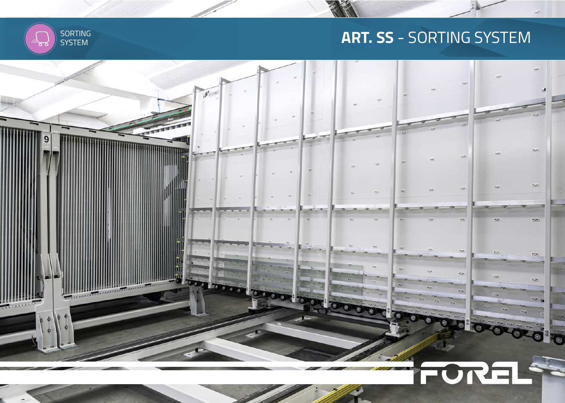# **ART. SS** - SORTING SYSTEM



`ठ र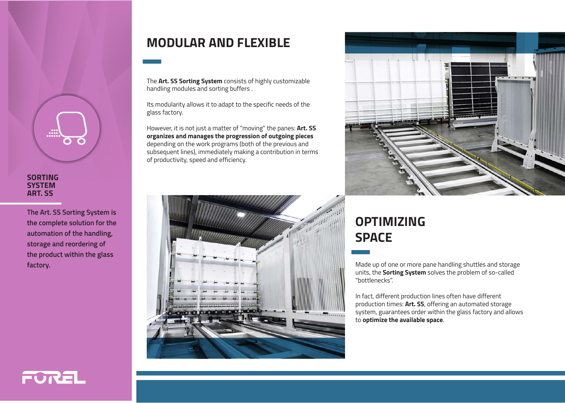

#### **SORTING SYSTEM ART. SS**

**The Art. SS Sorting System is the complete solution for the automation of the handling, storage and reordering of the product within the glass factory.**

#### **MODULAR AND FLEXIBLE**

The **Art. SS Sorting System** consists of highly customizable handling modules and sorting buffers .

Its modularity allows it to adapt to the specific needs of the glass factory.

However, it is not just a matter of "moving" the panes: **Art. SS organizes and manages the progression of outgoing pieces** depending on the work programs (both of the previous and subsequent lines), immediately making a contribution in terms of productivity, speed and efficiency.





# **OPTIMIZING SPACE**

Made up of one or more pane handling shuttles and storage units, the **Sorting System** solves the problem of so-called "bottlenecks".

In fact, different production lines often have different production times: **Art. SS**, offering an automated storage system, guarantees order within the glass factory and allows to **optimize the available space**.

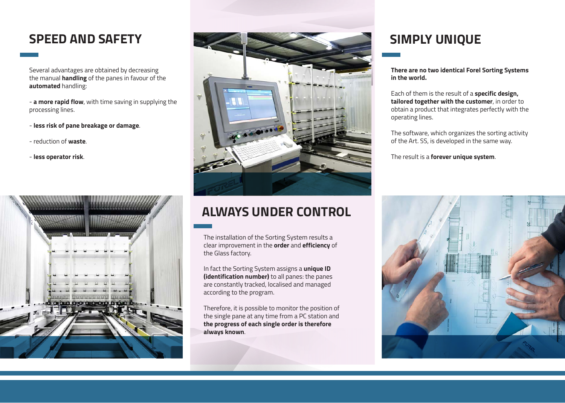### **SPEED AND SAFETY**

Several advantages are obtained by decreasing the manual **handling** of the panes in favour of the **automated** handling:

- **a more rapid flow**, with time saving in supplying the processing lines.

- **less risk of pane breakage or damage**.
- reduction of **waste**.
- **less operator risk**.





## **ALWAYS UNDER CONTROL**

The installation of the Sorting System results a clear improvement in the **order** and **efficiency** of the Glass factory.

In fact the Sorting System assigns a **unique ID (identification number)** to all panes: the panes are constantly tracked, localised and managed according to the program.

Therefore, it is possible to monitor the position of the single pane at any time from a PC station and **the progress of each single order is therefore always known**.

## **SIMPLY UNIQUE**

**There are no two identical Forel Sorting Systems in the world.** 

Each of them is the result of a **specific design, tailored together with the customer**, in order to obtain a product that integrates perfectly with the operating lines.

The software, which organizes the sorting activity of the Art. SS, is developed in the same way.

The result is a **forever unique system**.